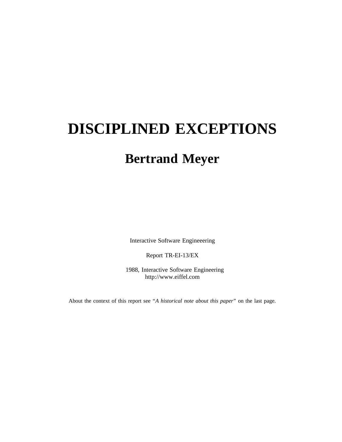# **DISCIPLINED EXCEPTIONS Bertrand Meyer**

I nteractive Software Engineeering

Report TR-EI-13/EX

 1988, Interactive Software Engineering http://www.eiffel.com

A bout the context of this report see ''*A historical note about this paper*'' on the last page.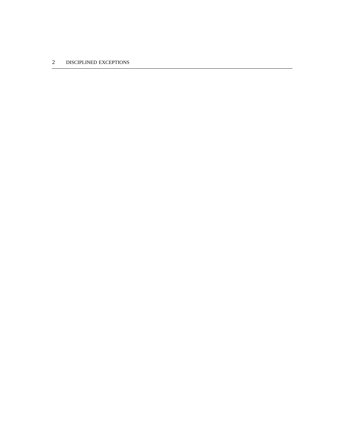#### DISCIPLINED EXCEPTIONS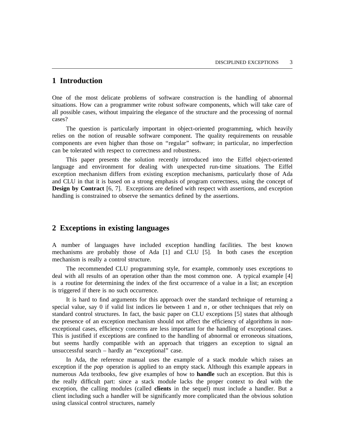## **1 Introduction**

One of the most delicate problems of software construction is the handling of abnormal a ll possible cases, without impairing the elegance of the structure and the processing of normal situations. How can a programmer write robust software components, which will take care of cases?

The question is particularly important in object-oriented programming, which heavily relies on the notion of reusable software component. The quality requirements on reusable c omponents are even higher than those on ''regular'' software; in particular, no imperfection can be tolerated with respect to correctness and robustness.

This paper presents the solution recently introduced into the Eiffel object-oriented l language and environment for dealing with unexpected run-time situations. The Eiffe e xception mechanism differs from existing exception mechanisms, particularly those of Ada and CLU in that it is based on a strong emphasis of program correctness, using the concept of **D esign by Contract** [6, 7]. Exceptions are defined with respect with assertions, and exception handling is constrained to observe the semantics defined by the assertions.

#### **2 Exceptions in existing languages**

A number of languages have included exception handling facilities. The best known n mechanisms are probably those of Ada [1] and CLU [5]. In both cases the exceptio m echanism is really a control structure.

The recommended CLU programming style, for example, commonly uses exceptions to deal with all results of an operation other than the most common one. A typical example [4] i s a routine for determining the index of the first occurrence of a value in a list; an exception is triggered if there is no such occurrence.

It is hard to find arguments for this approach over the standard technique of returning a s tandard control structures. In fact, the basic paper on CLU exceptions [5] states that although special value, say 0 if valid list indices lie between 1 and  $n$ , or other techniques that rely on the presence of an exception mechanism should not affect the efficiency of algorithms in none xceptional cases, efficiency concerns are less important for the handling of exceptional cases. This is justified if exceptions are confined to the handling of abnormal or erroneous situations, b ut seems hardly compatible with an approach that triggers an exception to signal an unsuccessful search – hardly an ''exceptional'' case.

In Ada, the reference manual uses the example of a stack module which raises an exception if the *pop* operation is applied to an empty stack. Although this example appears in n umerous Ada textbooks, few give examples of how to **handle** such an exception. But this is e xception, the calling modules (called **clients** in the sequel) must include a handler. But a the really difficult part: since a stack module lacks the proper context to deal with the u sing classical control structures, namelyclient including such a handler will be significantly more complicated than the obvious solution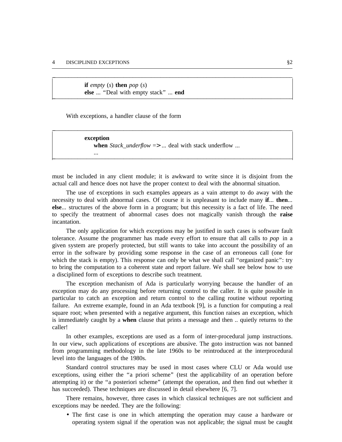\_

**e lse** ... ''Deal with empty stack'' ... **end** \_\_\_\_\_\_\_\_\_\_\_\_\_\_\_\_\_\_\_\_\_\_\_\_\_\_\_\_\_\_\_\_\_\_\_\_\_\_\_\_\_\_\_\_\_\_\_\_\_\_\_\_\_\_\_\_\_\_\_\_\_\_\_\_\_\_\_\_\_\_\_\_\_\_\_\_\_\_\_ **if** *empty* (*s*) **then** *pop* (*s*)

With exceptions, a handler clause of the form

```
exception
               when Stack underflow \Rightarrow ... deal with stack underflow ...
_ ... ______________________________________________________________________________
```
a ctual call and hence does not have the proper context to deal with the abnormal situation. must be included in any client module; it is awkward to write since it is disjoint from the

\_\_\_\_\_\_\_\_\_\_\_\_\_\_\_\_\_\_\_\_\_\_\_\_\_\_\_\_\_\_\_\_\_\_\_\_\_\_\_\_\_\_\_\_\_\_\_\_\_\_\_\_\_\_\_\_\_\_\_\_\_\_\_\_\_\_\_\_\_\_\_\_\_\_\_\_\_\_

\_\_\_\_\_\_\_\_\_\_\_\_\_\_\_\_\_\_\_\_\_\_\_\_\_\_\_\_\_\_\_\_\_\_\_\_\_\_\_\_\_\_\_\_\_\_\_\_\_\_\_\_\_\_\_\_\_\_\_\_\_\_\_\_\_\_\_\_\_\_\_\_\_\_\_\_\_\_\_

The use of exceptions in such examples appears as a vain attempt to do away with the n ecessity to deal with abnormal cases. Of course it is unpleasant to include many **if**... **then**... t o specify the treatment of abnormal cases does not magically vanish through the **raise else**... structures of the above form in a program; but this necessity is a fact of life. The need incantation.

The only application for which exceptions may be justified in such cases is software fault g iven system are properly protected, but still wants to take into account the possibility of an tolerance. Assume the programmer has made every effort to ensure that all calls to *pop* in a error in the software by providing some response in the case of an erroneous call (one for which the stack is empty). This response can only be what we shall call "organized panic": try to bring the computation to a coherent state and report failure. We shall see below how to use a disciplined form of exceptions to describe such treatment.

The exception mechanism of Ada is particularly worrying because the handler of an e xception may do any processing before returning control to the caller. It is quite possible in particular to catch an exception and return control to the calling routine without reporting f ailure. An extreme example, found in an Ada textbook [9], is a function for computing a real i s immediately caught by a **when** clause that prints a message and then .. quietly returns to the square root; when presented with a negative argument, this function raises an exception, which caller!

In other examples, exceptions are used as a form of inter-procedural jump instructions. f rom programming methodology in the late 1960s to be reintroduced at the interprocedural In our view, such applications of exceptions are abusive. The goto instruction was not banned level into the languages of the 1980s.

Standard control structures may be used in most cases where CLU or Ada would use exceptions, using either the "a priori scheme" (test the applicability of an operation before a ttempting it) or the ''a posteriori scheme'' (attempt the operation, and then find out whether it has succeeded). These techniques are discussed in detail elsewhere [6, 7].

There remains, however, three cases in which classical techniques are not sufficient and exceptions may be needed. They are the following:

• The first case is one in which attempting the operation may cause a hardware or operating system signal if the operation was not applicable; the signal must be caught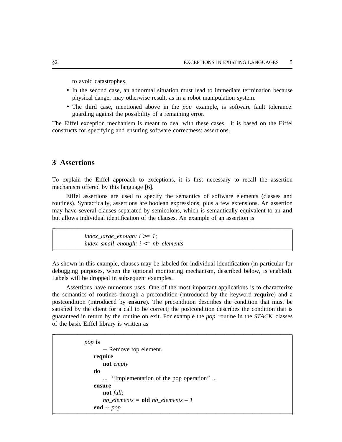to avoid catastrophes.

- In the second case, an abnormal situation must lead to immediate termination because physical danger may otherwise result, as in a robot manipulation system.
- The third case, mentioned above in the *pop* example, is software fault tolerance: guarding against the possibility of a remaining error.

T he Eiffel exception mechanism is meant to deal with these cases. It is based on the Eiffel constructs for specifying and ensuring software correctness: assertions.

#### **3 Assertions**

 $\overline{a}$ 

\_

To explain the Eiffel approach to exceptions, it is first necessary to recall the assertion mechanism offered by this language [6].

Eiffel assertions are used to specify the semantics of software elements (classes and routines). Syntactically, assertions are boolean expressions, plus a few extensions. An assertion m ay have several clauses separated by semicolons, which is semantically equivalent to an **and** but allows individual identification of the clauses. An example of an assertion is

\_\_\_\_\_\_\_\_\_\_\_\_\_\_\_\_\_\_\_\_\_\_\_\_\_\_\_\_\_\_\_\_\_\_\_\_\_\_\_\_\_\_\_\_\_\_\_\_\_\_\_\_\_\_\_\_\_\_\_\_\_\_\_\_\_\_\_\_\_\_\_\_\_\_\_\_\_\_

*i ndex*\_*small*\_*enough: i* <sup>&</sup>lt;*= nb*\_*elements* \_\_\_\_\_\_\_\_\_\_\_\_\_\_\_\_\_\_\_\_\_\_\_\_\_\_\_\_\_\_\_\_\_\_\_\_\_\_\_\_\_\_\_\_\_\_\_\_\_\_\_\_\_\_\_\_\_\_\_\_\_\_\_\_\_\_\_\_\_\_\_\_\_\_\_\_\_\_\_  $index\_large\_enough: i \geq 1;$ 

d ebugging purposes, when the optional monitoring mechanism, described below, is enabled). As shown in this example, clauses may be labeled for individual identification (in particular for Labels will be dropped in subsequent examples.

Assertions have numerous uses. One of the most important applications is to characterize the semantics of routines through a precondition (introduced by the keyword **require**) and a p ostcondition (introduced by **ensure**). The precondition describes the condition that must be satisfied by the client for a call to be correct; the postcondition describes the condition that is g uaranteed in return by the routine on exit. For example the *pop* routine in the *STACK* classes of the basic Eiffel library is written as

\_\_\_\_\_\_\_\_\_\_\_\_\_\_\_\_\_\_\_\_\_\_\_\_\_\_\_\_\_\_\_\_\_\_\_\_\_\_\_\_\_\_\_\_\_\_\_\_\_\_\_\_\_\_\_\_\_\_\_\_\_\_\_\_\_\_\_\_\_\_\_\_\_\_\_\_\_\_

```
pop is
            -- Remove top element.
          require
            not empty
          do
            ... ''Implementation of the pop operation'' ...
          ensure
            not full;
            nb_elements = old nb_elements – 1
end -- pop
```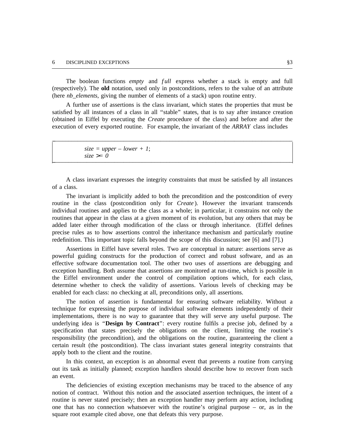The boolean functions *empty* and *full* express whether a stack is empty and full ( here *nb*\_*elements*, giving the number of elements of a stack) upon routine entry. (respectively). The **old** notation, used only in postconditions, refers to the value of an attribute

A further use of assertions is the class invariant, which states the properties that must be satisfied by all instances of a class in all "stable" states, that is to say after instance creation (obtained in Eiffel by executing the *Create* procedure of the class) and before and after the e xecution of every exported routine. For example, the invariant of the *ARRAY* class includes

\_\_\_\_\_\_\_\_\_\_\_\_\_\_\_\_\_\_\_\_\_\_\_\_\_\_\_\_\_\_\_\_\_\_\_\_\_\_\_\_\_\_\_\_\_\_\_\_\_\_\_\_\_\_\_\_\_\_\_\_\_\_\_\_\_\_\_\_\_\_\_\_\_\_\_\_\_\_\_

 $size = upper - lower + 1$ ;  $size \ge 0$ 

A class invariant expresses the integrity constraints that must be satisfied by all instances of a class.

The invariant is implicitly added to both the precondition and the postcondition of every routine in the class (postcondition only for *Create*). However the invariant transcends i ndividual routines and applies to the class as a whole; in particular, it constrains not only the routines that appear in the class at a given moment of its evolution, but any others that may be a dded later either through modification of the class or through inheritance. (Eiffel defines r edefinition. This important topic falls beyond the scope of this discussion; see [6] and [7].) precise rules as to how assertions control the inheritance mechanism and particularly routine

Assertions in Eiffel have several roles. Two are conceptual in nature: assertions serve as p owerful guiding constructs for the production of correct and robust software, and as an effective software documentation tool. The other two uses of assertions are debugging and e xception handling. Both assume that assertions are monitored at run-time, which is possible in the Eiffel environment under the control of compilation options which, for each class, d etermine whether to check the validity of assertions. Various levels of checking may be enabled for each class: no checking at all, preconditions only, all assertions.

The notion of assertion is fundamental for ensuring software reliability. Without a technique for expressing the purpose of individual software elements independently of their i mplementations, there is no way to guarantee that they will serve any useful purpose. The underlying idea is "Design by Contract": every routine fulfils a precise job, defined by a s pecification that states precisely the obligations on the client, limiting the routine's c ertain result (the postcondition). The class invariant states general integrity constraints that responsibility (the precondition), and the obligations on the routine, guaranteeing the client a apply both to the client and the routine.

In this context, an exception is an abnormal event that prevents a routine from carrying out its task as initially planned; exception handlers should describe how to recover from such a n event.

The deficiencies of existing exception mechanisms may be traced to the absence of any notion of contract. Without this notion and the associated assertion techniques, the intent of a r outine is never stated precisely; then an exception handler may perform any action, including one that has no connection whatsoever with the routine's original purpose – or, as in the s quare root example cited above, one that defeats this very purpose.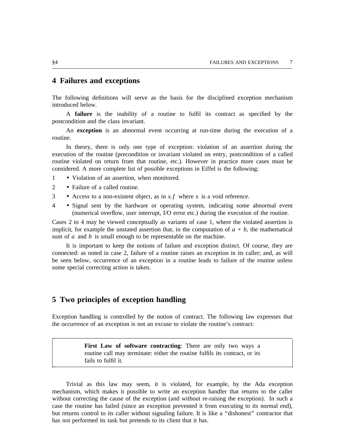#### **4 Failures and exceptions**

T he following definitions will serve as the basis for the disciplined exception mechanism introduced below.

A **failure** is the inability of a routine to fulfil its contract as specified by the postcondition and the class invariant.

An **exception** is an abnormal event occurring at run-time during the execution of a routine.

In theory, there is only one type of exception: violation of an assertion during the r outine violated on return from that routine, etc.). However in practice more cases must be execution of the routine (precondition or invariant violated on entry, postcondition of a called considered. A more complete list of possible exceptions in Eiffel is the following:

- 1 • Violation of an assertion, when monitored.
- 2 Failure of a called routine.
- 3 Access to a non-existent object, as in *x.f* where *x* is a void reference.
- 4 Signal sent by the hardware or operating system, indicating some abnormal event (numerical overflow, user interrupt, I/O error etc.) during the execution of the routine.

C ases 2 to 4 may be viewed conceptually as variants of case 1, where the violated assertion is implicit, for example the unstated assertion that, in the computation of  $a + b$ , the mathematical s um of *a* and *b* is small enough to be representable on the machine.

It is important to keep the notions of failure and exception distinct. Of course, they are c onnected: as noted in case 2, failure of a routine raises an exception in its caller; and, as will s ome special correcting action is taken. be seen below, occurrence of an exception in a routine leads to failure of the routine unless

#### **g 5 Two principles of exception handlin**

E xception handling is controlled by the notion of contract. The following law expresses that the occurrence of an exception is not an excuse to violate the routine's contract:

\_\_\_\_\_\_\_\_\_\_\_\_\_\_\_\_\_\_\_\_\_\_\_\_\_\_\_\_\_\_\_\_\_\_\_\_\_\_\_\_\_\_\_\_\_\_\_\_\_\_\_\_\_\_\_\_\_\_\_\_\_\_\_\_\_\_\_\_\_\_\_\_\_\_\_\_\_\_

r outine call may terminate: either the routine fulfils its contract, or its **First Law of software contracting**: There are only two ways a fails to fulfil it.

m echanism, which makes it possible to write an exception handler that returns to the caller Trivial as this law may seem, it is violated, for example, by the Ada exception c ase the routine has failed (since an exception prevented it from executing to its normal end), without correcting the cause of the exception (and without re-raising the exception). In such a h as not performed its task but pretends to its client that it has.but returns control to its caller without signaling failure. It is like a ''dishonest'' contractor that

 $\overline{a}$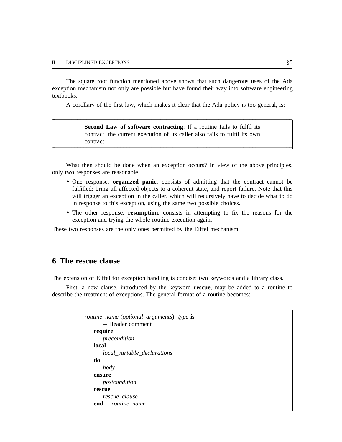The square root function mentioned above shows that such dangerous uses of the Ada t extbooks. exception mechanism not only are possible but have found their way into software engineering

A corollary of the first law, which makes it clear that the Ada policy is too general, is:

**Second Law of software contracting**: If a routine fails to fulfil its contract. contract, the current execution of its caller also fails to fulfil its own contract.

\_\_\_\_\_\_\_\_\_\_\_\_\_\_\_\_\_\_\_\_\_\_\_\_\_\_\_\_\_\_\_\_\_\_\_\_\_\_\_\_\_\_\_\_\_\_\_\_\_\_\_\_\_\_\_\_\_\_\_\_\_\_\_\_\_\_\_\_\_\_\_\_\_\_\_\_\_\_\_

o nly two responses are reasonable. What then should be done when an exception occurs? In view of the above principles,

- One response, **organized panic**, consists of admitting that the contract cannot be fulfilled: bring all affected objects to a coherent state, and report failure. Note that this w ill trigger an exception in the caller, which will recursively have to decide what to do in response to this exception, using the same two possible choices.
- The other response, **resumption**, consists in attempting to fix the reasons for the exception and trying the whole routine execution again.

T hese two responses are the only ones permitted by the Eiffel mechanism.

#### **6 The rescue clause**

T he extension of Eiffel for exception handling is concise: two keywords and a library class.

First, a new clause, introduced by the keyword rescue, may be added to a routine to d escribe the treatment of exceptions. The general format of a routine becomes:

\_\_\_\_\_\_\_\_\_\_\_\_\_\_\_\_\_\_\_\_\_\_\_\_\_\_\_\_\_\_\_\_\_\_\_\_\_\_\_\_\_\_\_\_\_\_\_\_\_\_\_\_\_\_\_\_\_\_\_\_\_\_\_\_\_\_\_\_\_\_\_\_\_\_\_\_\_\_\_

*routine*\_*name* (*optional*\_*arguments*)*: type* **is r equire** -- Header comment *precondition* **local** *local*\_*variable*\_*declarations* **do** *body* **ensure** *postcondition* **rescue** *rescue*\_*clause* **end** -- *routine* name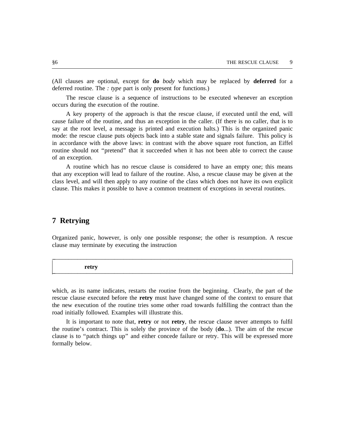d eferred routine. The *: type* part is only present for functions.) (All clauses are optional, except for **do** *body* which may be replaced by **deferred** for a

The rescue clause is a sequence of instructions to be executed whenever an exception o ccurs during the execution of the routine.

A key property of the approach is that the rescue clause, if executed until the end, will s ay at the root level, a message is printed and execution halts.) This is the organized panic cause failure of the routine, and thus an exception in the caller. (If there is no caller, that is to mode: the rescue clause puts objects back into a stable state and signals failure. This policy is i n accordance with the above laws: in contrast with the above square root function, an Eiffel o f an exception. routine should not ''pretend'' that it succeeded when it has not been able to correct the cause

A routine which has no rescue clause is considered to have an empty one; this means c lass level, and will then apply to any routine of the class which does not have its own explicit that any exception will lead to failure of the routine. Also, a rescue clause may be given at the clause. This makes it possible to have a common treatment of exceptions in several routines.

### **7 Retrying**

\_

Organized panic, however, is only one possible response; the other is resumption. A rescue clause may terminate by executing the instruction

\_\_\_\_\_\_\_\_\_\_\_\_\_\_\_\_\_\_\_\_\_\_\_\_\_\_\_\_\_\_\_\_\_\_\_\_\_\_\_\_\_\_\_\_\_\_\_\_\_\_\_\_\_\_\_\_\_\_\_\_\_\_\_\_\_\_\_\_\_\_\_\_\_\_\_\_\_\_

r escue clause executed before the **retry** must have changed some of the context to ensure that which, as its name indicates, restarts the routine from the beginning. Clearly, the part of the r oad initially followed. Examples will illustrate this. the new execution of the routine tries some other road towards fulfilling the contract than the

l It is important to note that, **retry** or not **retry**, the rescue clause never attempts to fulfi t he routine's contract. This is solely the province of the body (**do**...). The aim of the rescue e clause is to ''patch things up'' and either concede failure or retry. This will be expressed mor f ormally below.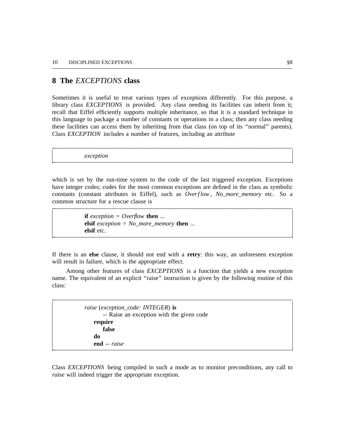#### **8 The** *EXCEPTIONS* **class**

Sometimes it is useful to treat various types of exceptions differently. For this purpose, a library class *EXCEPTIONS* is provided. Any class needing its facilities can inherit from it; r ecall that Eiffel efficiently supports multiple inheritance, so that it is a standard technique in this language to package a number of constants or operations in a class; then any class needing t hese facilities can access them by inheriting from that class (on top of its ''normal'' parents). Class *EXCEPTION* includes a number of features, including an attribute

\_\_\_\_\_\_\_\_\_\_\_\_\_\_\_\_\_\_\_\_\_\_\_\_\_\_\_\_\_\_\_\_\_\_\_\_\_\_\_\_\_\_\_\_\_\_\_\_\_\_\_\_\_\_\_\_\_\_\_\_\_\_\_\_\_\_\_\_\_\_\_\_\_\_\_\_\_\_

exception **exception and the set of the set of the set of the set of the set of the set of the set of the set of the set of the set of the set of the set of the set of the set of the set of the set of the set of the set** 

 $\overline{a}$ 

 $\overline{a}$ 

h ave integer codes; codes for the most common exceptions are defined in the class as symbolic which is set by the run-time system to the code of the last triggered exception. Exceptions constants (constant attributes in Eiffel), such as *Overflow*, *No\_more\_memory* etc. So a c ommon structure for a rescue clause is \_\_\_\_\_\_\_\_\_\_\_\_\_\_\_\_\_\_\_\_\_\_\_\_\_\_\_\_\_\_\_\_\_\_\_\_\_\_\_\_\_\_\_\_\_\_\_\_\_\_\_\_\_\_\_\_\_\_\_\_\_\_\_\_\_\_\_\_\_\_\_\_\_\_\_\_\_\_\_

```
e
lsif exception = No_more_memory then ...
      if exception = Overflow then ...
elsif etc.
```
w ill result in failure, which is the appropriate effect. If there is an **else** clause, it should not end with a **retry**: this way, an unforeseen exception

Among other features of class *EXCEPTIONS* is a function that yields a new exception name. The equivalent of an explicit "raise" instruction is given by the following routine of this class:

\_\_\_\_\_\_\_\_\_\_\_\_\_\_\_\_\_\_\_\_\_\_\_\_\_\_\_\_\_\_\_\_\_\_\_\_\_\_\_\_\_\_\_\_\_\_\_\_\_\_\_\_\_\_\_\_\_\_\_\_\_\_\_\_\_\_\_\_\_\_\_\_\_\_\_\_\_\_

*raise* (*exception*\_*code: INTEGER*) **is** -- Raise an exception with the given code **require false do end** *-- raise*  $\blacksquare$ 

*r aise* will indeed trigger the appropriate exception.Class *EXCEPTIONS* being compiled in such a mode as to monitor preconditions, any call to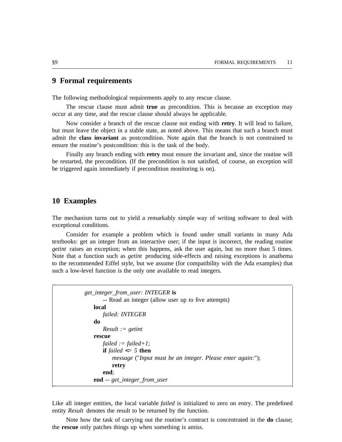## **9 Formal requirements**

T he following methodological requirements apply to any rescue clause.

The rescue clause must admit true as precondition. This is because an exception may o ccur at any time, and the rescue clause should always be applicable.

, Now consider a branch of the rescue clause not ending with **retry**. It will lead to failure b ut must leave the object in a stable state, as noted above. This means that such a branch must e nsure the routine's postcondition: this is the task of the body. admit the **class invariant** as postcondition. Note again that the branch is not constrained to

Finally any branch ending with retry must ensure the invariant and, since the routine will b e restarted, the precondition. (If the precondition is not satisfied, of course, an exception will be triggered again immediately if precondition monitoring is on).

#### **1 0 Examples**

\_

The mechanism turns out to yield a remarkably simple way of writing software to deal with exceptional conditions.

Consider for example a problem which is found under small variants in many Ada textbooks: get an integer from an interactive user; if the input is incorrect, the reading routine *g etint* raises an exception; when this happens, ask the user again, but no more than 5 times. t o the recommended Eiffel style, but we assume (for compatibility with the Ada examples) that Note that a function such as *getint* producing side-effects and raising exceptions is anathema such a low-level function is the only one available to read integers.

\_\_\_\_\_\_\_\_\_\_\_\_\_\_\_\_\_\_\_\_\_\_\_\_\_\_\_\_\_\_\_\_\_\_\_\_\_\_\_\_\_\_\_\_\_\_\_\_\_\_\_\_\_\_\_\_\_\_\_\_\_\_\_\_\_\_\_\_\_\_\_\_\_\_\_\_\_\_

```
get_integer_from_user: INTEGER is
       -- Read an integer (allow user up to five attempts)
   local
       failed: INTEGER
   do
       Result := getint
   rescue
      failed := failed+1;
       if failed <= 5 then
          message ("Input must be an integer. Please enter again:");
       e
nd;
          retry
   end -- get_integer_from_user
```
e ntity *Result* denotes the result to be returned by the function. Like all integer entities, the local variable *failed* is initialized to zero on entry. The predefined

Note how the task of carrying out the routine's contract is concentrated in the **do** clause; t he **rescue** only patches things up when something is amiss.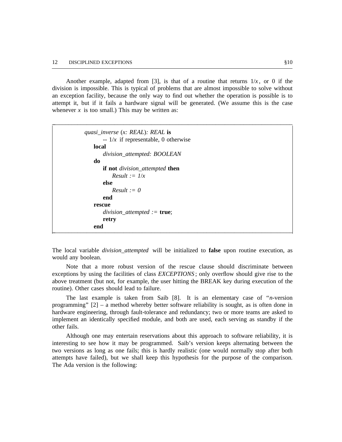Another example, adapted from [3], is that of a routine that returns  $1/x$ , or 0 if the division is impossible. This is typical of problems that are almost impossible to solve without a n exception facility, because the only way to find out whether the operation is possible is to attempt it, but if it fails a hardware signal will be generated. (We assume this is the case whenever  $x$  is too small.) This may be written as:

\_\_\_\_\_\_\_\_\_\_\_\_\_\_\_\_\_\_\_\_\_\_\_\_\_\_\_\_\_\_\_\_\_\_\_\_\_\_\_\_\_\_\_\_\_\_\_\_\_\_\_\_\_\_\_\_\_\_\_\_\_\_\_\_\_\_\_\_\_\_\_\_\_\_\_\_\_\_\_

*quasi*\_*inverse* (*x: REAL*)*: REAL* **is** -- 1/*x* if representable, 0 otherwise **local** *division*\_*attempted: BOOLEAN* **do if not** *division*\_*attempted* **then**  $Result := 1/x$ **else** *Result := 0* **end rescue** *division*\_*attempted :=* **true**; **retry end** \_\_\_\_\_\_\_\_\_\_\_\_\_\_\_\_\_\_\_\_\_\_\_\_\_\_\_\_\_\_\_\_\_\_\_\_\_\_\_\_\_\_\_\_\_\_\_\_\_\_\_\_\_\_\_\_\_\_\_\_\_\_\_\_\_\_\_\_\_\_\_\_\_\_\_\_\_\_\_

w ould any boolean. The local variable *division*\_*attempted* will be initialized to **false** upon routine execution, as

Note that a more robust version of the rescue clause should discriminate between exceptions by using the facilities of class *EXCEPTIONS*; only overflow should give rise to the a bove treatment (but not, for example, the user hitting the BREAK key during execution of the routine). Other cases should lead to failure.

The last example is taken from Saib [8]. It is an elementary case of ''*n*-version programming" [2] – a method whereby better software reliability is sought, as is often done in h ardware engineering, through fault-tolerance and redundancy; two or more teams are asked to implement an identically specified module, and both are used, each serving as standby if the o ther fails.

Although one may entertain reservations about this approach to software reliability, it is t wo versions as long as one fails; this is hardly realistic (one would normally stop after both interesting to see how it may be programmed. Saib's version keeps alternating between the . attempts have failed), but we shall keep this hypothesis for the purpose of the comparison T he Ada version is the following: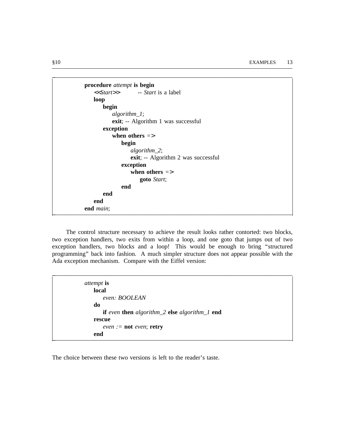```
procedure attempt is begin
           <<Start>> -- Start is a label
           loop
              begin
                algorithm_1;
                exit; -- Algorithm 1 was successful
              exception
                when others =>
                   begin
                     algorithm_2;
                      exit; -- Algorithm 2 was successful
                   exception
                      when others =>
                        goto Start;
                   end
              end
           end
end main;
```
t wo exception handlers, two exits from within a loop, and one goto that jumps out of two The control structure necessary to achieve the result looks rather contorted: two blocks, exception handlers, two blocks and a loop! This would be enough to bring "structured p rogramming'' back into fashion. A much simpler structure does not appear possible with the Ada exception mechanism. Compare with the Eiffel version:

\_\_\_\_\_\_\_\_\_\_\_\_\_\_\_\_\_\_\_\_\_\_\_\_\_\_\_\_\_\_\_\_\_\_\_\_\_\_\_\_\_\_\_\_\_\_\_\_\_\_\_\_\_\_\_\_\_\_\_\_\_\_\_\_\_\_\_\_\_\_\_\_\_\_\_\_\_\_

\_\_\_\_\_\_\_\_\_\_\_\_\_\_\_\_\_\_\_\_\_\_\_\_\_\_\_\_\_\_\_\_\_\_\_\_\_\_\_\_\_\_\_\_\_\_\_\_\_\_\_\_\_\_\_\_\_\_\_\_\_\_\_\_\_\_\_\_\_\_\_\_\_\_\_\_\_\_\_

*attempt* **is local** *even: BOOLEAN* **do if** *even* **then** *algorithm*\_*2* **else** *algorithm*\_*1* **end rescue** *even :=* **not** *even*; **retry end** \_\_\_\_\_\_\_\_\_\_\_\_\_\_\_\_\_\_\_\_\_\_\_\_\_\_\_\_\_\_\_\_\_\_\_\_\_\_\_\_\_\_\_\_\_\_\_\_\_\_\_\_\_\_\_\_\_\_\_\_\_\_\_\_\_\_\_\_\_\_\_\_\_\_\_\_\_\_\_

The choice between these two versions is left to the reader's taste.

 $\overline{a}$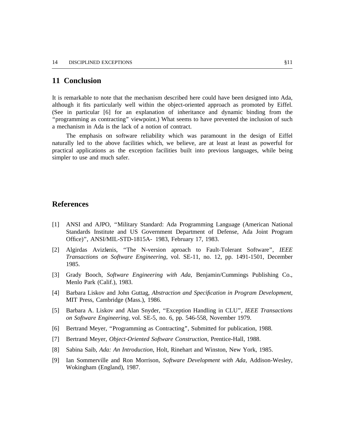#### **11 Conclusion**

It is remarkable to note that the mechanism described here could have been designed into Ada, . although it fits particularly well within the object-oriented approach as promoted by Eiffel ( See in particular [6] for an explanation of inheritance and dynamic binding from the a mechanism in Ada is the lack of a notion of contract. "programming as contracting" viewpoint.) What seems to have prevented the inclusion of such

The emphasis on software reliability which was paramount in the design of Eiffel n aturally led to the above facilities which, we believe, are at least at least as powerful for s impler to use and much safer. practical applications as the exception facilities built into previous languages, while being

#### **References**

- [ 1] ANSI and AJPO, ''Military Standard: Ada Programming Language (American National O ffice)'', ANSI/MIL-STD-1815A- 1983, February 17, 1983. Standards Institute and US Government Department of Defense, Ada Joint Program
- [2] Algirdas Avizienis, "The N-version aproach to Fault-Tolerant Software", *IEEE Transactions on Software Engineering*, vol. SE-11, no. 12, pp. 1491-1501, December 1985.
- [ 3] Grady Booch, *Software Engineering with Ada*, Benjamin/Cummings Publishing Co., Menlo Park (Calif.), 1983.
- $[4]$ 4] Barbara Liskov and John Guttag, *Abstraction and Specification in Program Development*, MIT Press, Cambridge (Mass.), 1986.
- $\lceil 5 \rceil$ 5] Barbara A. Liskov and Alan Snyder, ''Exception Handling in CLU'', *IEEE Transactions on Software Engineering*, vol. SE-5, no. 6, pp. 546-558, November 1979.
- $[6]$ Bertrand Meyer, "Programming as Contracting", Submitted for publication, 1988.
- [7] Bertrand Meyer, *Object-Oriented Software Construction*, Prentice-Hall, 1988.
- $[8]$ Sabina Saib, *Ada: An Introduction*, Holt, Rinehart and Winston, New York, 1985.
- [9] Ian Sommerville and Ron Morrison, *Software Development with Ada*, Addison-Wesley, Wokingham (England), 1987.